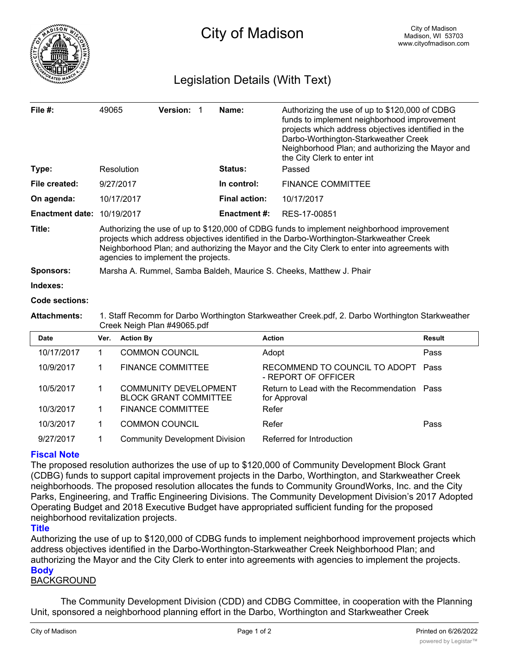

# Legislation Details (With Text)

| File #:                | 49065                                                                                                                                                                                                                                                                                                                          |                              | Version: 1 |  | Name:                | Authorizing the use of up to \$120,000 of CDBG<br>funds to implement neighborhood improvement<br>projects which address objectives identified in the<br>Darbo-Worthington-Starkweather Creek<br>Neighborhood Plan; and authorizing the Mayor and<br>the City Clerk to enter int |               |
|------------------------|--------------------------------------------------------------------------------------------------------------------------------------------------------------------------------------------------------------------------------------------------------------------------------------------------------------------------------|------------------------------|------------|--|----------------------|---------------------------------------------------------------------------------------------------------------------------------------------------------------------------------------------------------------------------------------------------------------------------------|---------------|
| Type:                  |                                                                                                                                                                                                                                                                                                                                | Resolution                   |            |  | Status:              | Passed                                                                                                                                                                                                                                                                          |               |
| File created:          |                                                                                                                                                                                                                                                                                                                                | 9/27/2017                    |            |  | In control:          | <b>FINANCE COMMITTEE</b>                                                                                                                                                                                                                                                        |               |
| On agenda:             |                                                                                                                                                                                                                                                                                                                                | 10/17/2017                   |            |  | <b>Final action:</b> | 10/17/2017                                                                                                                                                                                                                                                                      |               |
| <b>Enactment date:</b> |                                                                                                                                                                                                                                                                                                                                | 10/19/2017                   |            |  | <b>Enactment #:</b>  | RES-17-00851                                                                                                                                                                                                                                                                    |               |
| Title:                 | Authorizing the use of up to \$120,000 of CDBG funds to implement neighborhood improvement<br>projects which address objectives identified in the Darbo-Worthington-Starkweather Creek<br>Neighborhood Plan; and authorizing the Mayor and the City Clerk to enter into agreements with<br>agencies to implement the projects. |                              |            |  |                      |                                                                                                                                                                                                                                                                                 |               |
| <b>Sponsors:</b>       | Marsha A. Rummel, Samba Baldeh, Maurice S. Cheeks, Matthew J. Phair                                                                                                                                                                                                                                                            |                              |            |  |                      |                                                                                                                                                                                                                                                                                 |               |
| Indexes:               |                                                                                                                                                                                                                                                                                                                                |                              |            |  |                      |                                                                                                                                                                                                                                                                                 |               |
| <b>Code sections:</b>  |                                                                                                                                                                                                                                                                                                                                |                              |            |  |                      |                                                                                                                                                                                                                                                                                 |               |
| <b>Attachments:</b>    | 1. Staff Recomm for Darbo Worthington Starkweather Creek.pdf, 2. Darbo Worthington Starkweather<br>Creek Neigh Plan #49065.pdf                                                                                                                                                                                                 |                              |            |  |                      |                                                                                                                                                                                                                                                                                 |               |
| <b>Date</b>            | Ver.                                                                                                                                                                                                                                                                                                                           | <b>Action By</b>             |            |  | <b>Action</b>        |                                                                                                                                                                                                                                                                                 | <b>Result</b> |
| 10/17/2017             | 1                                                                                                                                                                                                                                                                                                                              | <b>COMMON COUNCIL</b>        |            |  | Adopt                |                                                                                                                                                                                                                                                                                 | Pass          |
| 10/9/2017              | 1                                                                                                                                                                                                                                                                                                                              | <b>FINANCE COMMITTEE</b>     |            |  |                      | RECOMMEND TO COUNCIL TO ADOPT<br>- REPORT OF OFFICER                                                                                                                                                                                                                            | Pass          |
| 10/5/2017              | 1                                                                                                                                                                                                                                                                                                                              | <b>COMMUNITY DEVELOPMENT</b> |            |  |                      | Return to Lead with the Recommendation Pass                                                                                                                                                                                                                                     |               |

## for Approval BLOCK GRANT COMMITTEE 10/3/2017 1 FINANCE COMMITTEE Refer 10/3/2017 1 COMMON COUNCIL Refer Refer Reserves Pass 9/27/2017 1 Community Development Division Referred for Introduction

### **Fiscal Note**

The proposed resolution authorizes the use of up to \$120,000 of Community Development Block Grant (CDBG) funds to support capital improvement projects in the Darbo, Worthington, and Starkweather Creek neighborhoods. The proposed resolution allocates the funds to Community GroundWorks, Inc. and the City Parks, Engineering, and Traffic Engineering Divisions. The Community Development Division's 2017 Adopted Operating Budget and 2018 Executive Budget have appropriated sufficient funding for the proposed neighborhood revitalization projects.

### **Title**

Authorizing the use of up to \$120,000 of CDBG funds to implement neighborhood improvement projects which address objectives identified in the Darbo-Worthington-Starkweather Creek Neighborhood Plan; and authorizing the Mayor and the City Clerk to enter into agreements with agencies to implement the projects. **Body**

## BACKGROUND

The Community Development Division (CDD) and CDBG Committee, in cooperation with the Planning Unit, sponsored a neighborhood planning effort in the Darbo, Worthington and Starkweather Creek